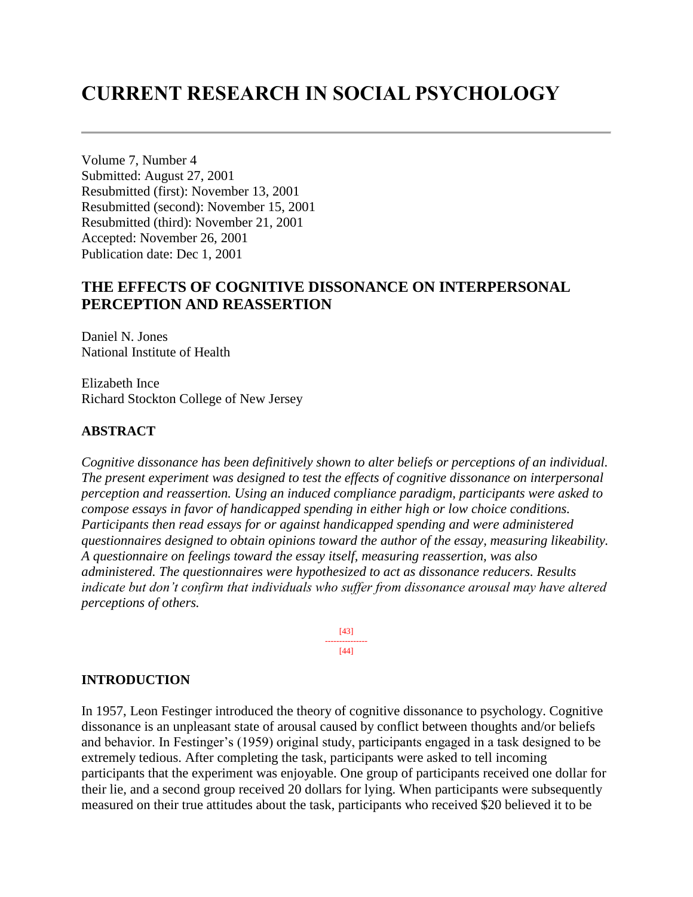# **CURRENT RESEARCH IN SOCIAL PSYCHOLOGY**

Volume 7, Number 4 Submitted: August 27, 2001 Resubmitted (first): November 13, 2001 Resubmitted (second): November 15, 2001 Resubmitted (third): November 21, 2001 Accepted: November 26, 2001 Publication date: Dec 1, 2001

# **THE EFFECTS OF COGNITIVE DISSONANCE ON INTERPERSONAL PERCEPTION AND REASSERTION**

Daniel N. Jones National Institute of Health

Elizabeth Ince Richard Stockton College of New Jersey

# **ABSTRACT**

*Cognitive dissonance has been definitively shown to alter beliefs or perceptions of an individual. The present experiment was designed to test the effects of cognitive dissonance on interpersonal perception and reassertion. Using an induced compliance paradigm, participants were asked to compose essays in favor of handicapped spending in either high or low choice conditions. Participants then read essays for or against handicapped spending and were administered questionnaires designed to obtain opinions toward the author of the essay, measuring likeability. A questionnaire on feelings toward the essay itself, measuring reassertion, was also administered. The questionnaires were hypothesized to act as dissonance reducers. Results indicate but don't confirm that individuals who suffer from dissonance arousal may have altered perceptions of others.*

> [43] --------------- [44]

# **INTRODUCTION**

In 1957, Leon Festinger introduced the theory of cognitive dissonance to psychology. Cognitive dissonance is an unpleasant state of arousal caused by conflict between thoughts and/or beliefs and behavior. In Festinger's (1959) original study, participants engaged in a task designed to be extremely tedious. After completing the task, participants were asked to tell incoming participants that the experiment was enjoyable. One group of participants received one dollar for their lie, and a second group received 20 dollars for lying. When participants were subsequently measured on their true attitudes about the task, participants who received \$20 believed it to be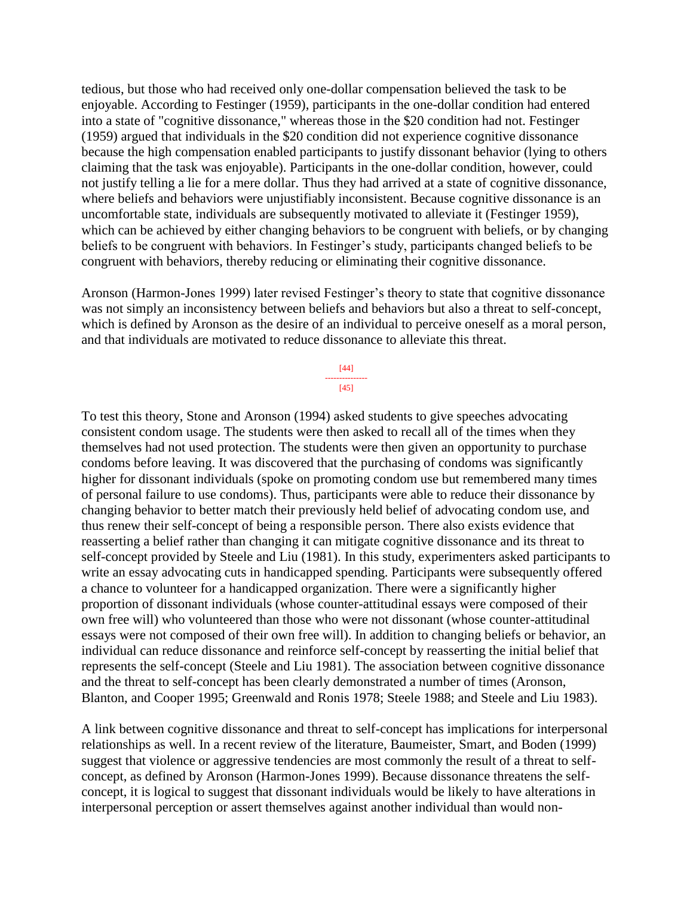tedious, but those who had received only one-dollar compensation believed the task to be enjoyable. According to Festinger (1959), participants in the one-dollar condition had entered into a state of "cognitive dissonance," whereas those in the \$20 condition had not. Festinger (1959) argued that individuals in the \$20 condition did not experience cognitive dissonance because the high compensation enabled participants to justify dissonant behavior (lying to others claiming that the task was enjoyable). Participants in the one-dollar condition, however, could not justify telling a lie for a mere dollar. Thus they had arrived at a state of cognitive dissonance, where beliefs and behaviors were unjustifiably inconsistent. Because cognitive dissonance is an uncomfortable state, individuals are subsequently motivated to alleviate it (Festinger 1959), which can be achieved by either changing behaviors to be congruent with beliefs, or by changing beliefs to be congruent with behaviors. In Festinger's study, participants changed beliefs to be congruent with behaviors, thereby reducing or eliminating their cognitive dissonance.

Aronson (Harmon-Jones 1999) later revised Festinger's theory to state that cognitive dissonance was not simply an inconsistency between beliefs and behaviors but also a threat to self-concept, which is defined by Aronson as the desire of an individual to perceive oneself as a moral person, and that individuals are motivated to reduce dissonance to alleviate this threat.

> [44] --------------- [45]

To test this theory, Stone and Aronson (1994) asked students to give speeches advocating consistent condom usage. The students were then asked to recall all of the times when they themselves had not used protection. The students were then given an opportunity to purchase condoms before leaving. It was discovered that the purchasing of condoms was significantly higher for dissonant individuals (spoke on promoting condom use but remembered many times of personal failure to use condoms). Thus, participants were able to reduce their dissonance by changing behavior to better match their previously held belief of advocating condom use, and thus renew their self-concept of being a responsible person. There also exists evidence that reasserting a belief rather than changing it can mitigate cognitive dissonance and its threat to self-concept provided by Steele and Liu (1981). In this study, experimenters asked participants to write an essay advocating cuts in handicapped spending. Participants were subsequently offered a chance to volunteer for a handicapped organization. There were a significantly higher proportion of dissonant individuals (whose counter-attitudinal essays were composed of their own free will) who volunteered than those who were not dissonant (whose counter-attitudinal essays were not composed of their own free will). In addition to changing beliefs or behavior, an individual can reduce dissonance and reinforce self-concept by reasserting the initial belief that represents the self-concept (Steele and Liu 1981). The association between cognitive dissonance and the threat to self-concept has been clearly demonstrated a number of times (Aronson, Blanton, and Cooper 1995; Greenwald and Ronis 1978; Steele 1988; and Steele and Liu 1983).

A link between cognitive dissonance and threat to self-concept has implications for interpersonal relationships as well. In a recent review of the literature, Baumeister, Smart, and Boden (1999) suggest that violence or aggressive tendencies are most commonly the result of a threat to selfconcept, as defined by Aronson (Harmon-Jones 1999). Because dissonance threatens the selfconcept, it is logical to suggest that dissonant individuals would be likely to have alterations in interpersonal perception or assert themselves against another individual than would non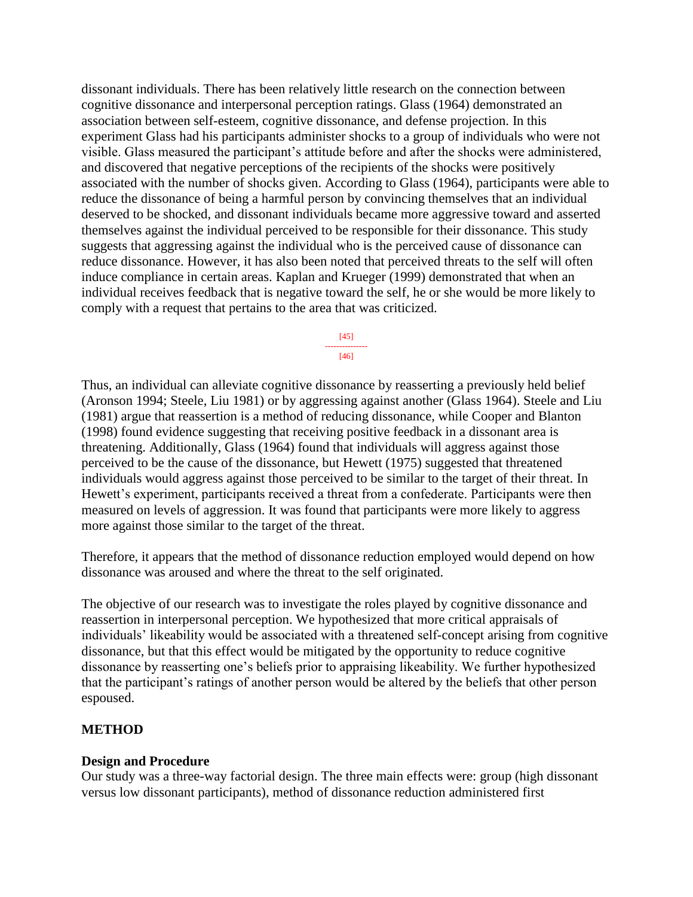dissonant individuals. There has been relatively little research on the connection between cognitive dissonance and interpersonal perception ratings. Glass (1964) demonstrated an association between self-esteem, cognitive dissonance, and defense projection. In this experiment Glass had his participants administer shocks to a group of individuals who were not visible. Glass measured the participant's attitude before and after the shocks were administered, and discovered that negative perceptions of the recipients of the shocks were positively associated with the number of shocks given. According to Glass (1964), participants were able to reduce the dissonance of being a harmful person by convincing themselves that an individual deserved to be shocked, and dissonant individuals became more aggressive toward and asserted themselves against the individual perceived to be responsible for their dissonance. This study suggests that aggressing against the individual who is the perceived cause of dissonance can reduce dissonance. However, it has also been noted that perceived threats to the self will often induce compliance in certain areas. Kaplan and Krueger (1999) demonstrated that when an individual receives feedback that is negative toward the self, he or she would be more likely to comply with a request that pertains to the area that was criticized.

> [45] --------------- [46]

Thus, an individual can alleviate cognitive dissonance by reasserting a previously held belief (Aronson 1994; Steele, Liu 1981) or by aggressing against another (Glass 1964). Steele and Liu (1981) argue that reassertion is a method of reducing dissonance, while Cooper and Blanton (1998) found evidence suggesting that receiving positive feedback in a dissonant area is threatening. Additionally, Glass (1964) found that individuals will aggress against those perceived to be the cause of the dissonance, but Hewett (1975) suggested that threatened individuals would aggress against those perceived to be similar to the target of their threat. In Hewett's experiment, participants received a threat from a confederate. Participants were then measured on levels of aggression. It was found that participants were more likely to aggress more against those similar to the target of the threat.

Therefore, it appears that the method of dissonance reduction employed would depend on how dissonance was aroused and where the threat to the self originated.

The objective of our research was to investigate the roles played by cognitive dissonance and reassertion in interpersonal perception. We hypothesized that more critical appraisals of individuals' likeability would be associated with a threatened self-concept arising from cognitive dissonance, but that this effect would be mitigated by the opportunity to reduce cognitive dissonance by reasserting one's beliefs prior to appraising likeability. We further hypothesized that the participant's ratings of another person would be altered by the beliefs that other person espoused.

# **METHOD**

# **Design and Procedure**

Our study was a three-way factorial design. The three main effects were: group (high dissonant versus low dissonant participants), method of dissonance reduction administered first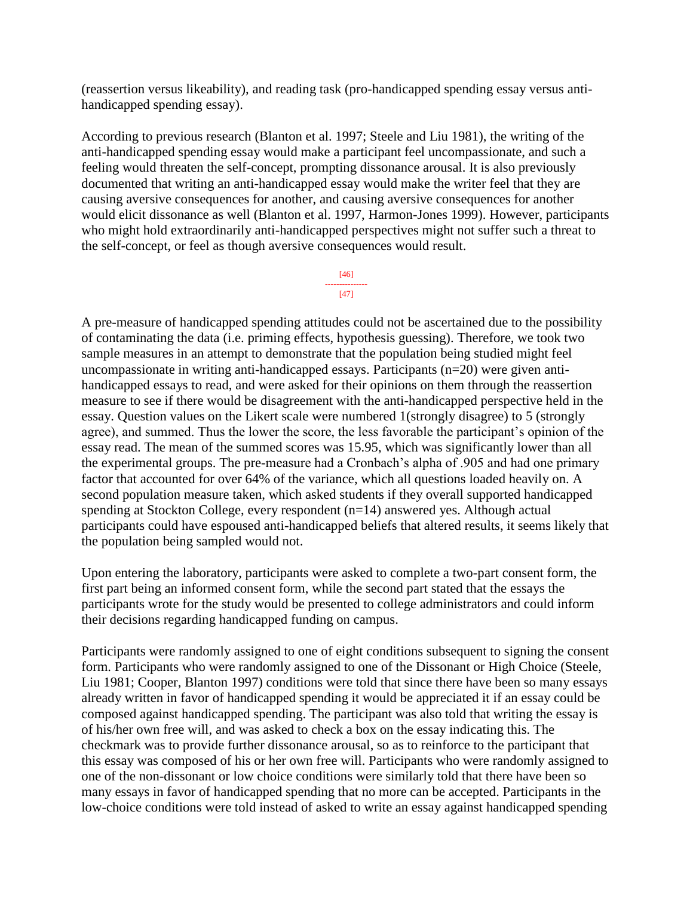(reassertion versus likeability), and reading task (pro-handicapped spending essay versus antihandicapped spending essay).

According to previous research (Blanton et al. 1997; Steele and Liu 1981), the writing of the anti-handicapped spending essay would make a participant feel uncompassionate, and such a feeling would threaten the self-concept, prompting dissonance arousal. It is also previously documented that writing an anti-handicapped essay would make the writer feel that they are causing aversive consequences for another, and causing aversive consequences for another would elicit dissonance as well (Blanton et al. 1997, Harmon-Jones 1999). However, participants who might hold extraordinarily anti-handicapped perspectives might not suffer such a threat to the self-concept, or feel as though aversive consequences would result.

> [46] --------------- [47]

A pre-measure of handicapped spending attitudes could not be ascertained due to the possibility of contaminating the data (i.e. priming effects, hypothesis guessing). Therefore, we took two sample measures in an attempt to demonstrate that the population being studied might feel uncompassionate in writing anti-handicapped essays. Participants (n=20) were given antihandicapped essays to read, and were asked for their opinions on them through the reassertion measure to see if there would be disagreement with the anti-handicapped perspective held in the essay. Question values on the Likert scale were numbered 1(strongly disagree) to 5 (strongly agree), and summed. Thus the lower the score, the less favorable the participant's opinion of the essay read. The mean of the summed scores was 15.95, which was significantly lower than all the experimental groups. The pre-measure had a Cronbach's alpha of .905 and had one primary factor that accounted for over 64% of the variance, which all questions loaded heavily on. A second population measure taken, which asked students if they overall supported handicapped spending at Stockton College, every respondent (n=14) answered yes. Although actual participants could have espoused anti-handicapped beliefs that altered results, it seems likely that the population being sampled would not.

Upon entering the laboratory, participants were asked to complete a two-part consent form, the first part being an informed consent form, while the second part stated that the essays the participants wrote for the study would be presented to college administrators and could inform their decisions regarding handicapped funding on campus.

Participants were randomly assigned to one of eight conditions subsequent to signing the consent form. Participants who were randomly assigned to one of the Dissonant or High Choice (Steele, Liu 1981; Cooper, Blanton 1997) conditions were told that since there have been so many essays already written in favor of handicapped spending it would be appreciated it if an essay could be composed against handicapped spending. The participant was also told that writing the essay is of his/her own free will, and was asked to check a box on the essay indicating this. The checkmark was to provide further dissonance arousal, so as to reinforce to the participant that this essay was composed of his or her own free will. Participants who were randomly assigned to one of the non-dissonant or low choice conditions were similarly told that there have been so many essays in favor of handicapped spending that no more can be accepted. Participants in the low-choice conditions were told instead of asked to write an essay against handicapped spending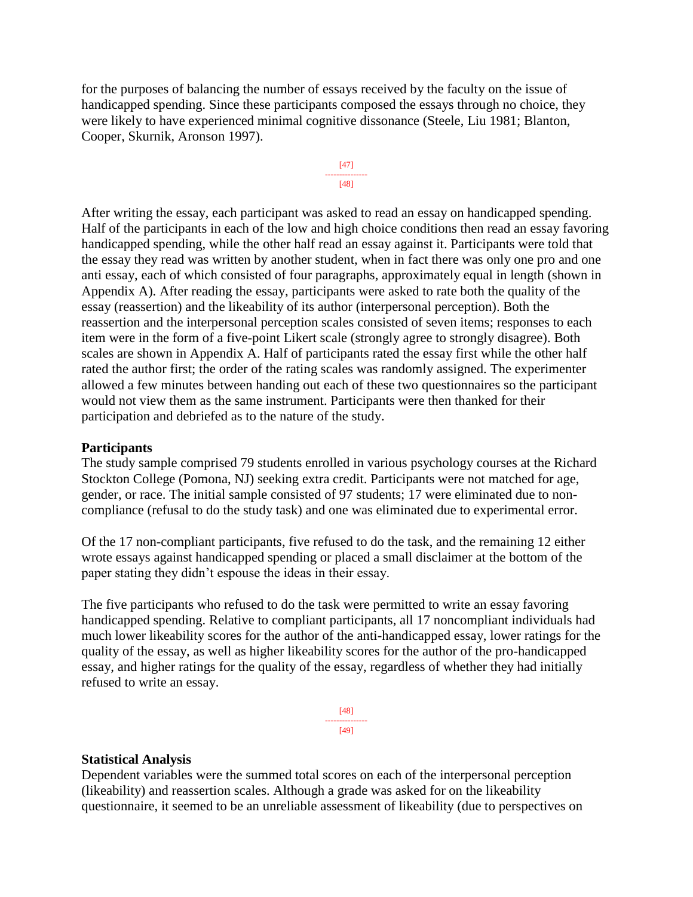for the purposes of balancing the number of essays received by the faculty on the issue of handicapped spending. Since these participants composed the essays through no choice, they were likely to have experienced minimal cognitive dissonance (Steele, Liu 1981; Blanton, Cooper, Skurnik, Aronson 1997).



After writing the essay, each participant was asked to read an essay on handicapped spending. Half of the participants in each of the low and high choice conditions then read an essay favoring handicapped spending, while the other half read an essay against it. Participants were told that the essay they read was written by another student, when in fact there was only one pro and one anti essay, each of which consisted of four paragraphs, approximately equal in length (shown in Appendix A). After reading the essay, participants were asked to rate both the quality of the essay (reassertion) and the likeability of its author (interpersonal perception). Both the reassertion and the interpersonal perception scales consisted of seven items; responses to each item were in the form of a five-point Likert scale (strongly agree to strongly disagree). Both scales are shown in Appendix A. Half of participants rated the essay first while the other half rated the author first; the order of the rating scales was randomly assigned. The experimenter allowed a few minutes between handing out each of these two questionnaires so the participant would not view them as the same instrument. Participants were then thanked for their participation and debriefed as to the nature of the study.

## **Participants**

The study sample comprised 79 students enrolled in various psychology courses at the Richard Stockton College (Pomona, NJ) seeking extra credit. Participants were not matched for age, gender, or race. The initial sample consisted of 97 students; 17 were eliminated due to noncompliance (refusal to do the study task) and one was eliminated due to experimental error.

Of the 17 non-compliant participants, five refused to do the task, and the remaining 12 either wrote essays against handicapped spending or placed a small disclaimer at the bottom of the paper stating they didn't espouse the ideas in their essay.

The five participants who refused to do the task were permitted to write an essay favoring handicapped spending. Relative to compliant participants, all 17 noncompliant individuals had much lower likeability scores for the author of the anti-handicapped essay, lower ratings for the quality of the essay, as well as higher likeability scores for the author of the pro-handicapped essay, and higher ratings for the quality of the essay, regardless of whether they had initially refused to write an essay.

> [48] --------------- [49]

### **Statistical Analysis**

Dependent variables were the summed total scores on each of the interpersonal perception (likeability) and reassertion scales. Although a grade was asked for on the likeability questionnaire, it seemed to be an unreliable assessment of likeability (due to perspectives on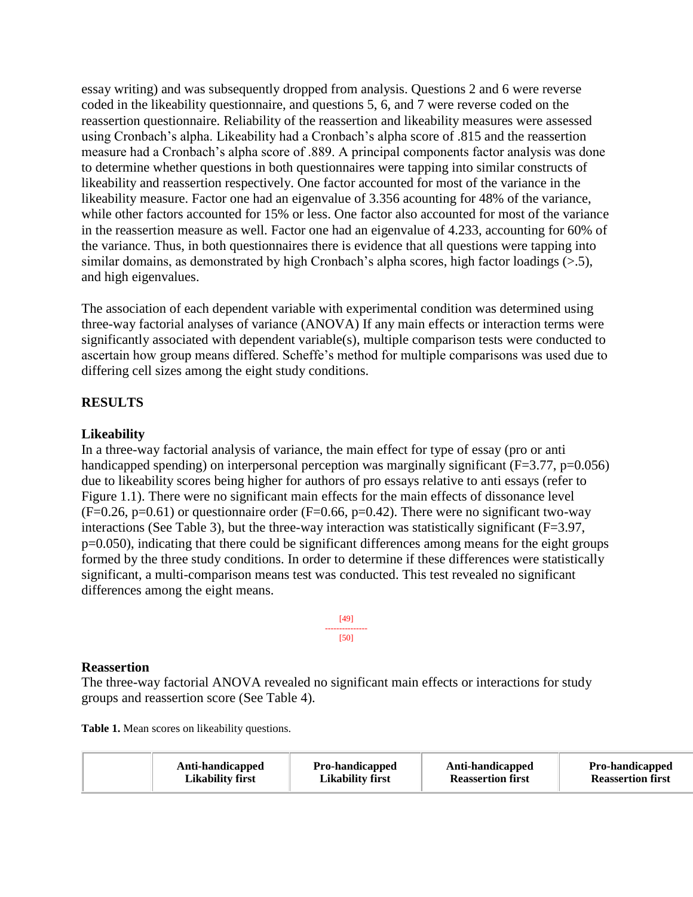essay writing) and was subsequently dropped from analysis. Questions 2 and 6 were reverse coded in the likeability questionnaire, and questions 5, 6, and 7 were reverse coded on the reassertion questionnaire. Reliability of the reassertion and likeability measures were assessed using Cronbach's alpha. Likeability had a Cronbach's alpha score of .815 and the reassertion measure had a Cronbach's alpha score of .889. A principal components factor analysis was done to determine whether questions in both questionnaires were tapping into similar constructs of likeability and reassertion respectively. One factor accounted for most of the variance in the likeability measure. Factor one had an eigenvalue of 3.356 acounting for 48% of the variance, while other factors accounted for 15% or less. One factor also accounted for most of the variance in the reassertion measure as well. Factor one had an eigenvalue of 4.233, accounting for 60% of the variance. Thus, in both questionnaires there is evidence that all questions were tapping into similar domains, as demonstrated by high Cronbach's alpha scores, high factor loadings (>.5), and high eigenvalues.

The association of each dependent variable with experimental condition was determined using three-way factorial analyses of variance (ANOVA) If any main effects or interaction terms were significantly associated with dependent variable(s), multiple comparison tests were conducted to ascertain how group means differed. Scheffe's method for multiple comparisons was used due to differing cell sizes among the eight study conditions.

# **RESULTS**

# **Likeability**

In a three-way factorial analysis of variance, the main effect for type of essay (pro or anti handicapped spending) on interpersonal perception was marginally significant ( $F=3.77$ ,  $p=0.056$ ) due to likeability scores being higher for authors of pro essays relative to anti essays (refer to Figure 1.1). There were no significant main effects for the main effects of dissonance level  $(F=0.26, p=0.61)$  or questionnaire order  $(F=0.66, p=0.42)$ . There were no significant two-way interactions (See Table 3), but the three-way interaction was statistically significant ( $F=3.97$ , p=0.050), indicating that there could be significant differences among means for the eight groups formed by the three study conditions. In order to determine if these differences were statistically significant, a multi-comparison means test was conducted. This test revealed no significant differences among the eight means.



# **Reassertion**

The three-way factorial ANOVA revealed no significant main effects or interactions for study groups and reassertion score (See Table 4).

**Table 1.** Mean scores on likeability questions.

| Anti-handicapped | Pro-handicapped         | Anti-handicapped         | Pro-handicapped          |
|------------------|-------------------------|--------------------------|--------------------------|
| Likability first | <b>Likability first</b> | <b>Reassertion first</b> | <b>Reassertion first</b> |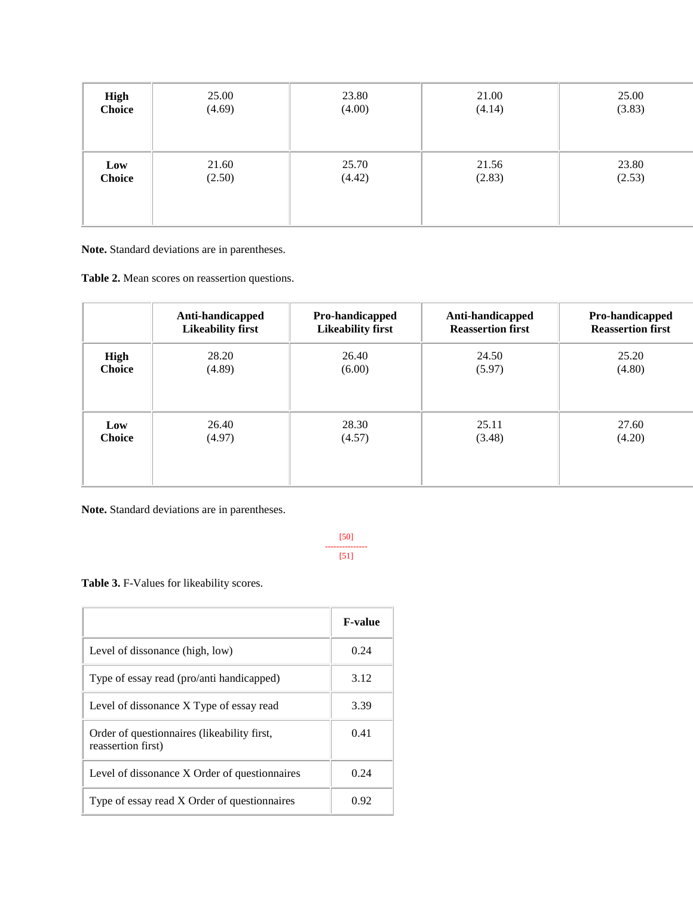| <b>High</b>   | 25.00  | 23.80  | 21.00  | 25.00  |
|---------------|--------|--------|--------|--------|
| <b>Choice</b> | (4.69) | (4.00) | (4.14) | (3.83) |
| Low           | 21.60  | 25.70  | 21.56  | 23.80  |
| <b>Choice</b> | (2.50) | (4.42) | (2.83) | (2.53) |

**Note.** Standard deviations are in parentheses.

**Table 2.** Mean scores on reassertion questions.

|               | Anti-handicapped         | Pro-handicapped          | Anti-handicapped         | Pro-handicapped          |
|---------------|--------------------------|--------------------------|--------------------------|--------------------------|
|               | <b>Likeability first</b> | <b>Likeability first</b> | <b>Reassertion first</b> | <b>Reassertion first</b> |
| High          | 28.20                    | 26.40                    | 24.50                    | 25.20                    |
| <b>Choice</b> | (4.89)                   | (6.00)                   | (5.97)                   | (4.80)                   |
| Low           | 26.40                    | 28.30                    | 25.11                    | 27.60                    |
| <b>Choice</b> | (4.97)                   | (4.57)                   | (3.48)                   | (4.20)                   |

**Note.** Standard deviations are in parentheses.

[50] --------------- [51]

**Table 3.** F-Values for likeability scores.

|                                                                   | <b>F-value</b> |
|-------------------------------------------------------------------|----------------|
| Level of dissonance (high, low)                                   | 0.24           |
| Type of essay read (pro/anti handicapped)                         | 3.12           |
| Level of dissonance X Type of essay read                          | 3.39           |
| Order of questionnaires (likeability first,<br>reassertion first) | 0.41           |
| Level of dissonance X Order of questionnaires                     | 0.24           |
| Type of essay read X Order of questionnaires                      | 0.92           |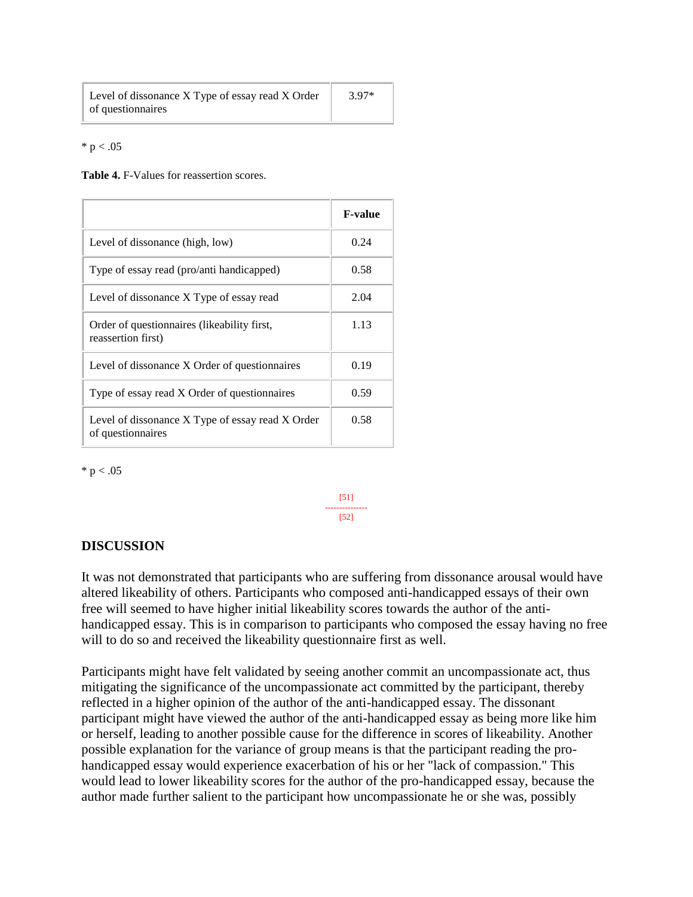| Level of dissonance X Type of essay read X Order | $3.97*$ |
|--------------------------------------------------|---------|
| of question naires                               |         |

 $* p < .05$ 

**Table 4.** F-Values for reassertion scores.

|                                                                        | <b>F-value</b> |
|------------------------------------------------------------------------|----------------|
| Level of dissonance (high, low)                                        | 0.24           |
| Type of essay read (pro/anti handicapped)                              | 0.58           |
| Level of dissonance X Type of essay read                               | 2.04           |
| Order of questionnaires (likeability first,<br>reassertion first)      | 1.13           |
| Level of dissonance X Order of questionnaires                          | 0.19           |
| Type of essay read X Order of questionnaires                           | 0.59           |
| Level of dissonance X Type of essay read X Order<br>of question naires | 0.58           |

 $* p < .05$ 

[51] --------------- [52]

### **DISCUSSION**

It was not demonstrated that participants who are suffering from dissonance arousal would have altered likeability of others. Participants who composed anti-handicapped essays of their own free will seemed to have higher initial likeability scores towards the author of the antihandicapped essay. This is in comparison to participants who composed the essay having no free will to do so and received the likeability questionnaire first as well.

Participants might have felt validated by seeing another commit an uncompassionate act, thus mitigating the significance of the uncompassionate act committed by the participant, thereby reflected in a higher opinion of the author of the anti-handicapped essay. The dissonant participant might have viewed the author of the anti-handicapped essay as being more like him or herself, leading to another possible cause for the difference in scores of likeability. Another possible explanation for the variance of group means is that the participant reading the prohandicapped essay would experience exacerbation of his or her "lack of compassion." This would lead to lower likeability scores for the author of the pro-handicapped essay, because the author made further salient to the participant how uncompassionate he or she was, possibly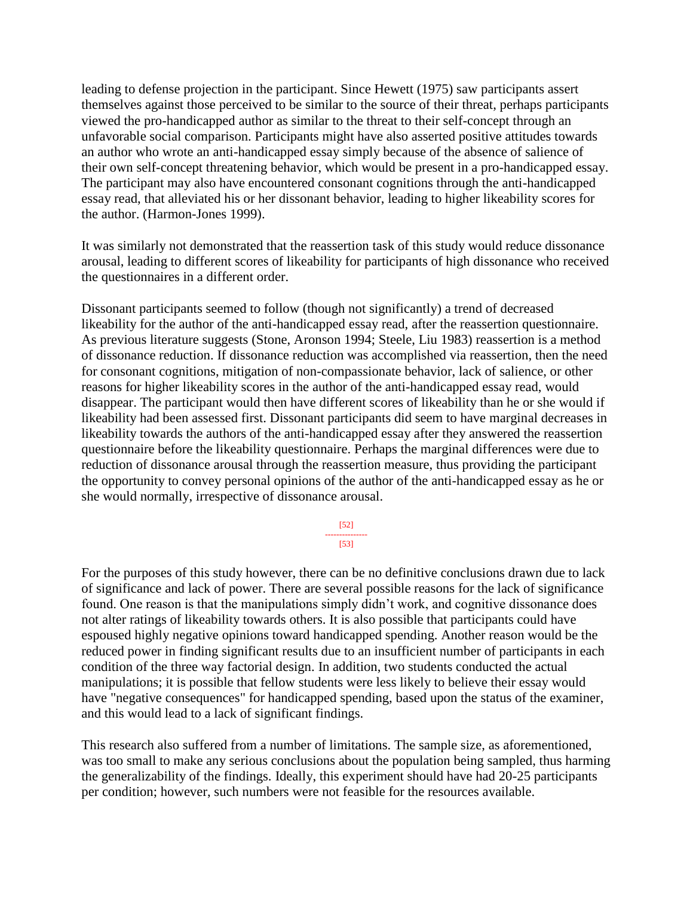leading to defense projection in the participant. Since Hewett (1975) saw participants assert themselves against those perceived to be similar to the source of their threat, perhaps participants viewed the pro-handicapped author as similar to the threat to their self-concept through an unfavorable social comparison. Participants might have also asserted positive attitudes towards an author who wrote an anti-handicapped essay simply because of the absence of salience of their own self-concept threatening behavior, which would be present in a pro-handicapped essay. The participant may also have encountered consonant cognitions through the anti-handicapped essay read, that alleviated his or her dissonant behavior, leading to higher likeability scores for the author. (Harmon-Jones 1999).

It was similarly not demonstrated that the reassertion task of this study would reduce dissonance arousal, leading to different scores of likeability for participants of high dissonance who received the questionnaires in a different order.

Dissonant participants seemed to follow (though not significantly) a trend of decreased likeability for the author of the anti-handicapped essay read, after the reassertion questionnaire. As previous literature suggests (Stone, Aronson 1994; Steele, Liu 1983) reassertion is a method of dissonance reduction. If dissonance reduction was accomplished via reassertion, then the need for consonant cognitions, mitigation of non-compassionate behavior, lack of salience, or other reasons for higher likeability scores in the author of the anti-handicapped essay read, would disappear. The participant would then have different scores of likeability than he or she would if likeability had been assessed first. Dissonant participants did seem to have marginal decreases in likeability towards the authors of the anti-handicapped essay after they answered the reassertion questionnaire before the likeability questionnaire. Perhaps the marginal differences were due to reduction of dissonance arousal through the reassertion measure, thus providing the participant the opportunity to convey personal opinions of the author of the anti-handicapped essay as he or she would normally, irrespective of dissonance arousal.

> [52] --------------- [53]

For the purposes of this study however, there can be no definitive conclusions drawn due to lack of significance and lack of power. There are several possible reasons for the lack of significance found. One reason is that the manipulations simply didn't work, and cognitive dissonance does not alter ratings of likeability towards others. It is also possible that participants could have espoused highly negative opinions toward handicapped spending. Another reason would be the reduced power in finding significant results due to an insufficient number of participants in each condition of the three way factorial design. In addition, two students conducted the actual manipulations; it is possible that fellow students were less likely to believe their essay would have "negative consequences" for handicapped spending, based upon the status of the examiner, and this would lead to a lack of significant findings.

This research also suffered from a number of limitations. The sample size, as aforementioned, was too small to make any serious conclusions about the population being sampled, thus harming the generalizability of the findings. Ideally, this experiment should have had 20-25 participants per condition; however, such numbers were not feasible for the resources available.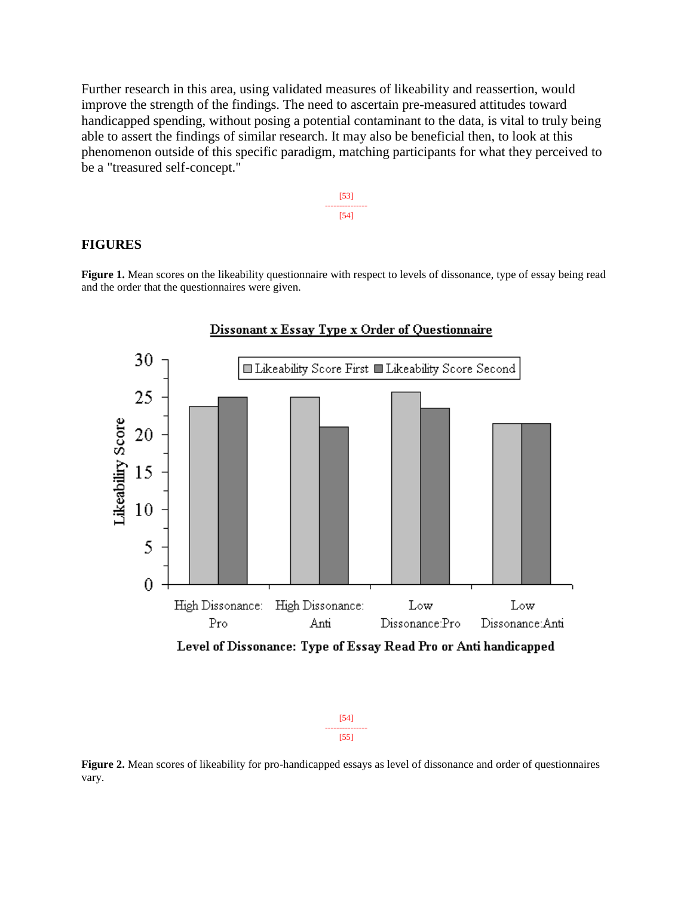Further research in this area, using validated measures of likeability and reassertion, would improve the strength of the findings. The need to ascertain pre-measured attitudes toward handicapped spending, without posing a potential contaminant to the data, is vital to truly being able to assert the findings of similar research. It may also be beneficial then, to look at this phenomenon outside of this specific paradigm, matching participants for what they perceived to be a "treasured self-concept."



### **FIGURES**

**Figure 1.** Mean scores on the likeability questionnaire with respect to levels of dissonance, type of essay being read and the order that the questionnaires were given.





**Figure 2.** Mean scores of likeability for pro-handicapped essays as level of dissonance and order of questionnaires vary.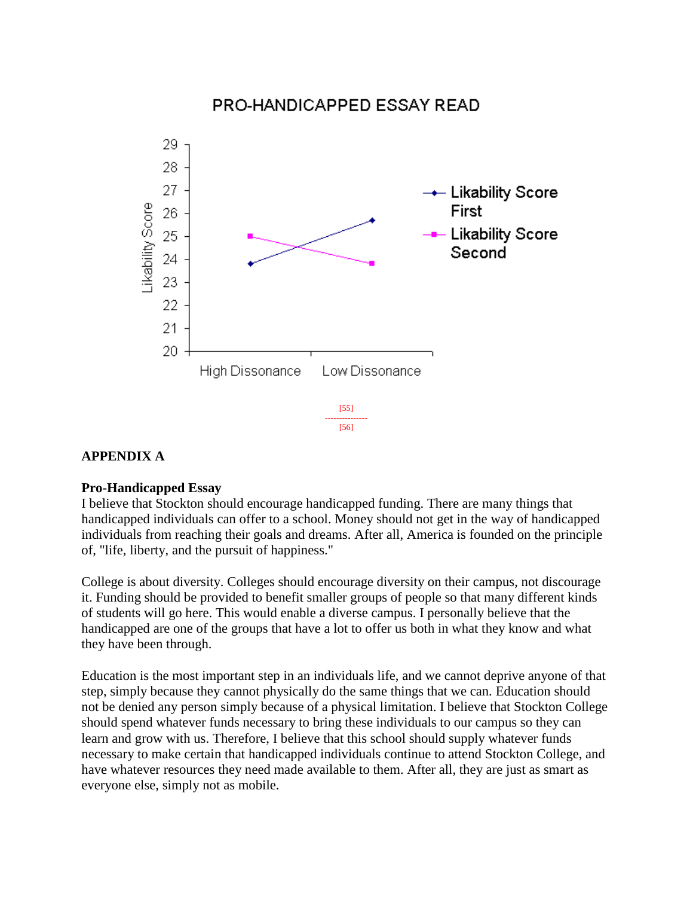# PRO-HANDICAPPED ESSAY READ



# **APPENDIX A**

# **Pro-Handicapped Essay**

29

I believe that Stockton should encourage handicapped funding. There are many things that handicapped individuals can offer to a school. Money should not get in the way of handicapped individuals from reaching their goals and dreams. After all, America is founded on the principle of, "life, liberty, and the pursuit of happiness."

College is about diversity. Colleges should encourage diversity on their campus, not discourage it. Funding should be provided to benefit smaller groups of people so that many different kinds of students will go here. This would enable a diverse campus. I personally believe that the handicapped are one of the groups that have a lot to offer us both in what they know and what they have been through.

Education is the most important step in an individuals life, and we cannot deprive anyone of that step, simply because they cannot physically do the same things that we can. Education should not be denied any person simply because of a physical limitation. I believe that Stockton College should spend whatever funds necessary to bring these individuals to our campus so they can learn and grow with us. Therefore, I believe that this school should supply whatever funds necessary to make certain that handicapped individuals continue to attend Stockton College, and have whatever resources they need made available to them. After all, they are just as smart as everyone else, simply not as mobile.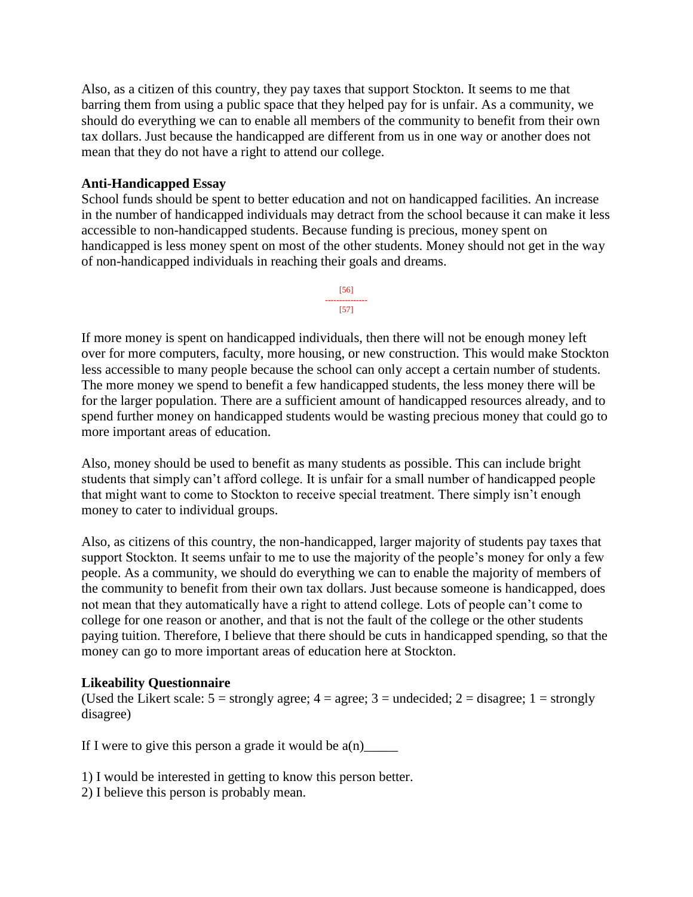Also, as a citizen of this country, they pay taxes that support Stockton. It seems to me that barring them from using a public space that they helped pay for is unfair. As a community, we should do everything we can to enable all members of the community to benefit from their own tax dollars. Just because the handicapped are different from us in one way or another does not mean that they do not have a right to attend our college.

# **Anti-Handicapped Essay**

School funds should be spent to better education and not on handicapped facilities. An increase in the number of handicapped individuals may detract from the school because it can make it less accessible to non-handicapped students. Because funding is precious, money spent on handicapped is less money spent on most of the other students. Money should not get in the way of non-handicapped individuals in reaching their goals and dreams.

> [56] --------------- [57]

If more money is spent on handicapped individuals, then there will not be enough money left over for more computers, faculty, more housing, or new construction. This would make Stockton less accessible to many people because the school can only accept a certain number of students. The more money we spend to benefit a few handicapped students, the less money there will be for the larger population. There are a sufficient amount of handicapped resources already, and to spend further money on handicapped students would be wasting precious money that could go to more important areas of education.

Also, money should be used to benefit as many students as possible. This can include bright students that simply can't afford college. It is unfair for a small number of handicapped people that might want to come to Stockton to receive special treatment. There simply isn't enough money to cater to individual groups.

Also, as citizens of this country, the non-handicapped, larger majority of students pay taxes that support Stockton. It seems unfair to me to use the majority of the people's money for only a few people. As a community, we should do everything we can to enable the majority of members of the community to benefit from their own tax dollars. Just because someone is handicapped, does not mean that they automatically have a right to attend college. Lots of people can't come to college for one reason or another, and that is not the fault of the college or the other students paying tuition. Therefore, I believe that there should be cuts in handicapped spending, so that the money can go to more important areas of education here at Stockton.

# **Likeability Questionnaire**

(Used the Likert scale:  $5 =$  strongly agree;  $4 =$  agree;  $3 =$  undecided;  $2 =$  disagree;  $1 =$  strongly disagree)

If I were to give this person a grade it would be  $a(n)$ 

1) I would be interested in getting to know this person better.

2) I believe this person is probably mean.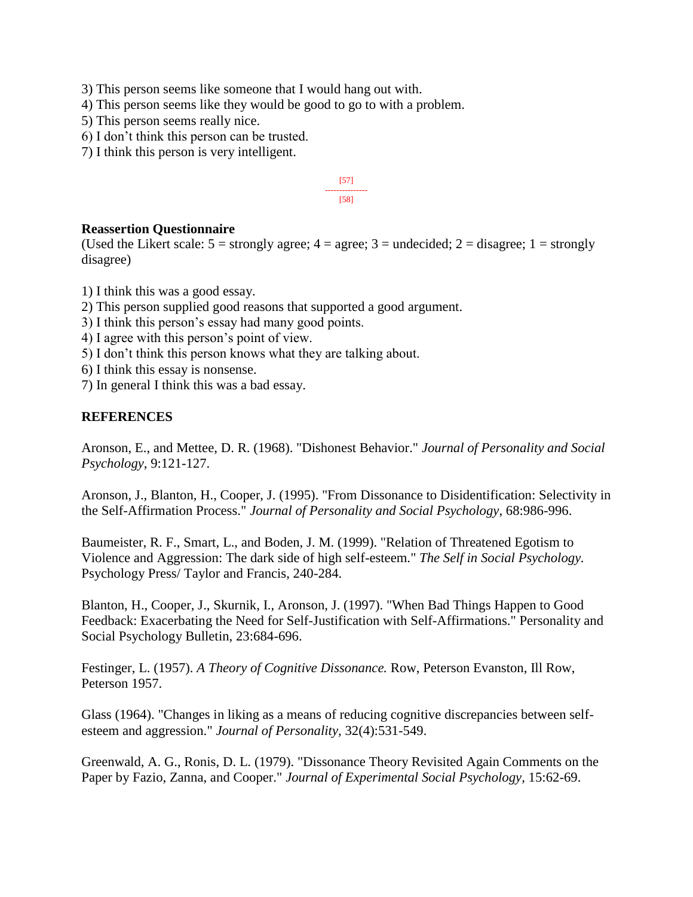- 3) This person seems like someone that I would hang out with.
- 4) This person seems like they would be good to go to with a problem.
- 5) This person seems really nice.
- 6) I don't think this person can be trusted.
- 7) I think this person is very intelligent.

$$
\begin{array}{c}\n [57] \\
\overline{[58]} \\
\end{array}
$$

### **Reassertion Questionnaire**

(Used the Likert scale:  $5 =$  strongly agree;  $4 =$  agree;  $3 =$  undecided;  $2 =$  disagree;  $1 =$  strongly disagree)

- 1) I think this was a good essay.
- 2) This person supplied good reasons that supported a good argument.
- 3) I think this person's essay had many good points.
- 4) I agree with this person's point of view.
- 5) I don't think this person knows what they are talking about.
- 6) I think this essay is nonsense.
- 7) In general I think this was a bad essay.

# **REFERENCES**

Aronson, E., and Mettee, D. R. (1968). "Dishonest Behavior." *Journal of Personality and Social Psychology*, 9:121-127.

Aronson, J., Blanton, H., Cooper, J. (1995). "From Dissonance to Disidentification: Selectivity in the Self-Affirmation Process." *Journal of Personality and Social Psychology*, 68:986-996.

Baumeister, R. F., Smart, L., and Boden, J. M. (1999). "Relation of Threatened Egotism to Violence and Aggression: The dark side of high self-esteem." *The Self in Social Psychology.*  Psychology Press/ Taylor and Francis, 240-284.

Blanton, H., Cooper, J., Skurnik, I., Aronson, J. (1997). "When Bad Things Happen to Good Feedback: Exacerbating the Need for Self-Justification with Self-Affirmations." Personality and Social Psychology Bulletin, 23:684-696.

Festinger, L. (1957). *A Theory of Cognitive Dissonance.* Row, Peterson Evanston, Ill Row, Peterson 1957.

Glass (1964). "Changes in liking as a means of reducing cognitive discrepancies between selfesteem and aggression." *Journal of Personality,* 32(4):531-549.

Greenwald, A. G., Ronis, D. L. (1979). "Dissonance Theory Revisited Again Comments on the Paper by Fazio, Zanna, and Cooper." *Journal of Experimental Social Psychology,* 15:62-69.